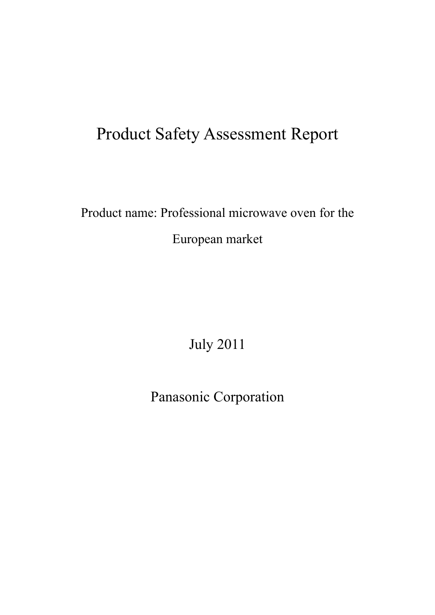# Product Safety Assessment Report

# Product name: Professional microwave oven for the European market

July 2011

Panasonic Corporation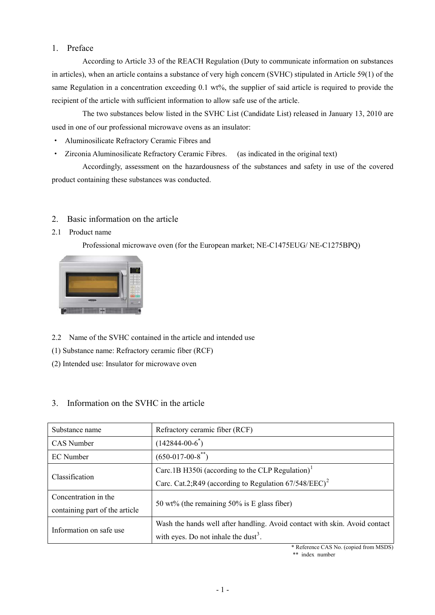## 1. Preface

According to Article 33 of the REACH Regulation (Duty to communicate information on substances in articles), when an article contains a substance of very high concern (SVHC) stipulated in Article 59(1) of the same Regulation in a concentration exceeding 0.1 wt%, the supplier of said article is required to provide the recipient of the article with sufficient information to allow safe use of the article.

The two substances below listed in the SVHC List (Candidate List) released in January 13, 2010 are used in one of our professional microwave ovens as an insulator:

- ・ Aluminosilicate Refractory Ceramic Fibres and
- ・ Zirconia Aluminosilicate Refractory Ceramic Fibres. (as indicated in the original text)

Accordingly, assessment on the hazardousness of the substances and safety in use of the covered product containing these substances was conducted.

# 2. Basic information on the article

# 2.1 Product name

Professional microwave oven (for the European market; NE-C1475EUG/ NE-C1275BPQ)



- 2.2 Name of the SVHC contained in the article and intended use
- (1) Substance name: Refractory ceramic fiber (RCF)
- (2) Intended use: Insulator for microwave oven

# 3. Information on the SVHC in the article

<span id="page-1-0"></span>

| Substance name                 | Refractory ceramic fiber (RCF)                                             |  |
|--------------------------------|----------------------------------------------------------------------------|--|
| CAS Number                     | $(142844 - 00 - 6^*)$                                                      |  |
| EC Number                      | $(650-017-00-8$ <sup>**</sup> )                                            |  |
| Classification                 | Carc.1B H350i (according to the CLP Regulation) <sup>1</sup>               |  |
|                                | Carc. Cat.2;R49 (according to Regulation $67/548/EEC$ ) <sup>2</sup>       |  |
| Concentration in the           | 50 wt% (the remaining $50\%$ is E glass fiber)                             |  |
| containing part of the article |                                                                            |  |
| Information on safe use        | Wash the hands well after handling. Avoid contact with skin. Avoid contact |  |
|                                | with eyes. Do not inhale the dust <sup>3</sup> .                           |  |

\* Reference CAS No. (copied from MSDS)

\*\* index number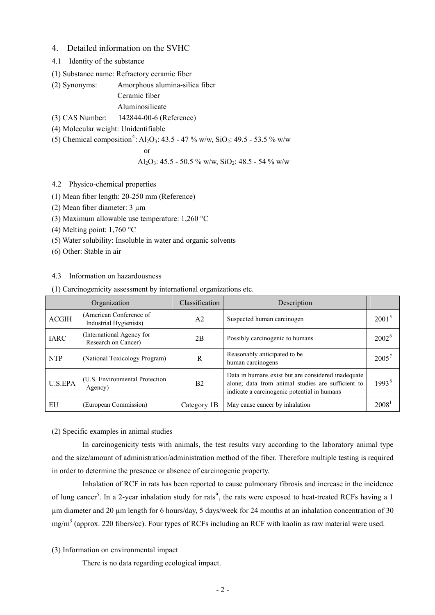## 4. Detailed information on the SVHC

- 4.1 Identity of the substance
- (1) Substance name: Refractory ceramic fiber

(2) Synonyms: Amorphous alumina-silica fiber Ceramic fiber

Aluminosilicate

(3) CAS Number: 142844-00-6 (Reference)

(4) Molecular weight: Unidentifiable

(5) Chemical composition<sup>[4](#page-11-3)</sup>: Al<sub>2</sub>O<sub>3</sub>: 43.5 - 47 % w/w, SiO<sub>2</sub>: 49.5 - 53.5 % w/w

$$
\quad \text{or} \quad
$$

Al2O3: 45.5 - 50.5 % w/w, SiO2: 48.5 - 54 % w/w

## 4.2 Physico-chemical properties

(1) Mean fiber length: 20-250 mm (Reference)

(2) Mean fiber diameter: 3 µm

(3) Maximum allowable use temperature:  $1,260$  °C

(4) Melting point:  $1,760$  °C

(5) Water solubility: Insoluble in water and organic solvents

(6) Other: Stable in air

## 4.3 Information on hazardousness

(1) Carcinogenicity assessment by international organizations etc.

<span id="page-2-0"></span>

| Organization   |                                                   | Classification | Description                                                                                                                                            |                   |
|----------------|---------------------------------------------------|----------------|--------------------------------------------------------------------------------------------------------------------------------------------------------|-------------------|
| <b>ACGIH</b>   | (American Conference of<br>Industrial Hygienists) | A <sub>2</sub> | Suspected human carcinogen                                                                                                                             | $2001^5$          |
| <b>IARC</b>    | (International Agency for<br>Research on Cancer)  | 2B             | Possibly carcinogenic to humans                                                                                                                        | $2002^6$          |
| <b>NTP</b>     | (National Toxicology Program)                     | R              | Reasonably anticipated to be<br>human carcinogens                                                                                                      | $2005^7$          |
| <b>U.S.EPA</b> | (U.S. Environmental Protection)<br>Agency)        | B <sub>2</sub> | Data in humans exist but are considered inadequate<br>alone; data from animal studies are sufficient to<br>indicate a carcinogenic potential in humans | 1993 <sup>8</sup> |
| EU             | (European Commission)                             | Category 1B    | May cause cancer by inhalation                                                                                                                         | 2008 <sup>1</sup> |

(2) Specific examples in animal studies

In carcinogenicity tests with animals, the test results vary according to the laboratory animal type and the size/amount of administration/administration method of the fiber. Therefore multiple testing is required in order to determine the presence or absence of carcinogenic property.

Inhalation of RCF in rats has been reported to cause pulmonary fibrosis and increase in the incidence of lung cancer<sup>5</sup>. In a 2-year inhalation study for rats<sup>[9](#page-11-8)</sup>, the rats were exposed to heat-treated RCFs having a 1 µm diameter and 20 µm length for 6 hours/day, 5 days/week for 24 months at an inhalation concentration of 30  $mg/m<sup>3</sup>$  (approx. 220 fibers/cc). Four types of RCFs including an RCF with kaolin as raw material were used.

## (3) Information on environmental impact

There is no data regarding ecological impact.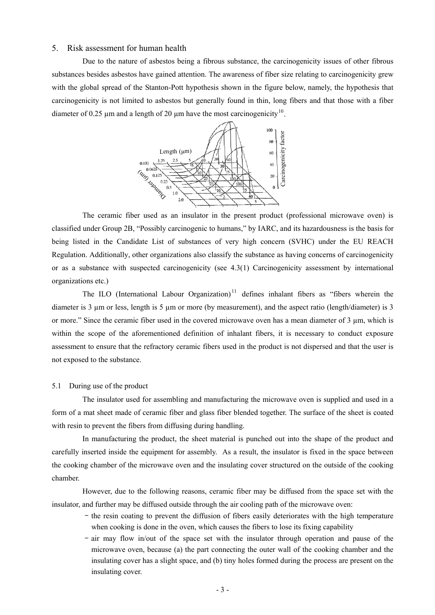## 5. Risk assessment for human health

Due to the nature of asbestos being a fibrous substance, the carcinogenicity issues of other fibrous substances besides asbestos have gained attention. The awareness of fiber size relating to carcinogenicity grew with the global spread of the Stanton-Pott hypothesis shown in the figure below, namely, the hypothesis that carcinogenicity is not limited to asbestos but generally found in thin, long fibers and that those with a fiber diameter of 0.25  $\mu$ m and a length of 20  $\mu$ m have the most carcinogenicity<sup>[10](#page-11-9)</sup>.



The ceramic fiber used as an insulator in the present product (professional microwave oven) is classified under Group 2B, "Possibly carcinogenic to humans," by IARC, and its hazardousness is the basis for being listed in the Candidate List of substances of very high concern (SVHC) under the EU REACH Regulation. Additionally, other organizations also classify the substance as having concerns of carcinogenicity or as a substance with suspected carcinogenicity (see 4.3(1) Carcinogenicity assessment by international organizations etc.)

The ILO (International Labour Organization)<sup>[11](#page-11-10)</sup> defines inhalant fibers as "fibers wherein the diameter is 3 µm or less, length is 5 µm or more (by measurement), and the aspect ratio (length/diameter) is 3 or more." Since the ceramic fiber used in the covered microwave oven has a mean diameter of 3 µm, which is within the scope of the aforementioned definition of inhalant fibers, it is necessary to conduct exposure assessment to ensure that the refractory ceramic fibers used in the product is not dispersed and that the user is not exposed to the substance.

## 5.1 During use of the product

The insulator used for assembling and manufacturing the microwave oven is supplied and used in a form of a mat sheet made of ceramic fiber and glass fiber blended together. The surface of the sheet is coated with resin to prevent the fibers from diffusing during handling.

In manufacturing the product, the sheet material is punched out into the shape of the product and carefully inserted inside the equipment for assembly. As a result, the insulator is fixed in the space between the cooking chamber of the microwave oven and the insulating cover structured on the outside of the cooking chamber.

However, due to the following reasons, ceramic fiber may be diffused from the space set with the insulator, and further may be diffused outside through the air cooling path of the microwave oven:

- the resin coating to prevent the diffusion of fibers easily deteriorates with the high temperature when cooking is done in the oven, which causes the fibers to lose its fixing capability
- air may flow in/out of the space set with the insulator through operation and pause of the microwave oven, because (a) the part connecting the outer wall of the cooking chamber and the insulating cover has a slight space, and (b) tiny holes formed during the process are present on the insulating cover.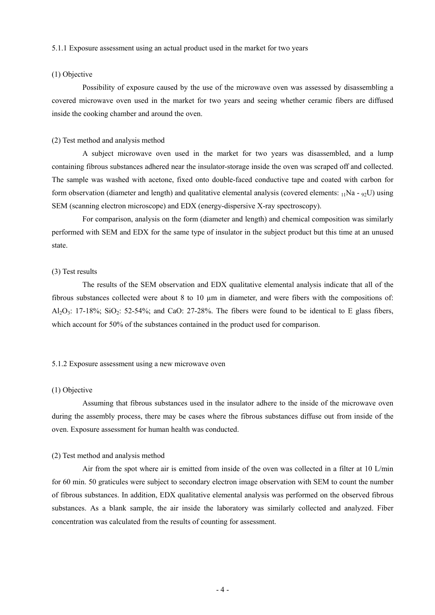#### 5.1.1 Exposure assessment using an actual product used in the market for two years

## (1) Objective

Possibility of exposure caused by the use of the microwave oven was assessed by disassembling a covered microwave oven used in the market for two years and seeing whether ceramic fibers are diffused inside the cooking chamber and around the oven.

#### (2) Test method and analysis method

A subject microwave oven used in the market for two years was disassembled, and a lump containing fibrous substances adhered near the insulator-storage inside the oven was scraped off and collected. The sample was washed with acetone, fixed onto double-faced conductive tape and coated with carbon for form observation (diameter and length) and qualitative elemental analysis (covered elements:  $_{11}$ Na -  $_{92}$ U) using SEM (scanning electron microscope) and EDX (energy-dispersive X-ray spectroscopy).

For comparison, analysis on the form (diameter and length) and chemical composition was similarly performed with SEM and EDX for the same type of insulator in the subject product but this time at an unused state.

#### (3) Test results

The results of the SEM observation and EDX qualitative elemental analysis indicate that all of the fibrous substances collected were about 8 to 10 µm in diameter, and were fibers with the compositions of: Al<sub>2</sub>O<sub>3</sub>: 17-18%; SiO<sub>2</sub>: 52-54%; and CaO: 27-28%. The fibers were found to be identical to E glass fibers, which account for 50% of the substances contained in the product used for comparison.

#### 5.1.2 Exposure assessment using a new microwave oven

#### (1) Objective

Assuming that fibrous substances used in the insulator adhere to the inside of the microwave oven during the assembly process, there may be cases where the fibrous substances diffuse out from inside of the oven. Exposure assessment for human health was conducted.

#### (2) Test method and analysis method

Air from the spot where air is emitted from inside of the oven was collected in a filter at 10 L/min for 60 min. 50 graticules were subject to secondary electron image observation with SEM to count the number of fibrous substances. In addition, EDX qualitative elemental analysis was performed on the observed fibrous substances. As a blank sample, the air inside the laboratory was similarly collected and analyzed. Fiber concentration was calculated from the results of counting for assessment.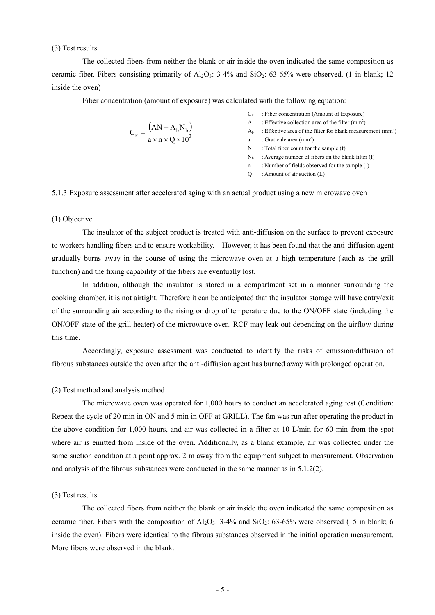(3) Test results

The collected fibers from neither the blank or air inside the oven indicated the same composition as ceramic fiber. Fibers consisting primarily of  $Al_2O_3$ : 3-4% and  $SiO_2$ : 63-65% were observed. (1 in blank; 12 inside the oven)

Fiber concentration (amount of exposure) was calculated with the following equation:

$$
C_F = \frac{(AN - A_b N_b)}{a \times n \times Q \times 10^3}
$$

- $C_F$ : Fiber concentration (Amount of Exposure)
- A : Effective collection area of the filter  $(mm<sup>2</sup>)$
- $A_b$ : Effective area of the filter for blank measurement (mm<sup>2</sup>)
- a : Graticule area  $(mm<sup>2</sup>)$
- N : Total fiber count for the sample (f)
- $N_b$  : Average number of fibers on the blank filter (f)
- n : Number of fields observed for the sample (-)
- $Q$  : Amount of air suction  $(L)$

5.1.3 Exposure assessment after accelerated aging with an actual product using a new microwave oven

## (1) Objective

The insulator of the subject product is treated with anti-diffusion on the surface to prevent exposure to workers handling fibers and to ensure workability. However, it has been found that the anti-diffusion agent gradually burns away in the course of using the microwave oven at a high temperature (such as the grill function) and the fixing capability of the fibers are eventually lost.

In addition, although the insulator is stored in a compartment set in a manner surrounding the cooking chamber, it is not airtight. Therefore it can be anticipated that the insulator storage will have entry/exit of the surrounding air according to the rising or drop of temperature due to the ON/OFF state (including the ON/OFF state of the grill heater) of the microwave oven. RCF may leak out depending on the airflow during this time.

Accordingly, exposure assessment was conducted to identify the risks of emission/diffusion of fibrous substances outside the oven after the anti-diffusion agent has burned away with prolonged operation.

#### (2) Test method and analysis method

The microwave oven was operated for 1,000 hours to conduct an accelerated aging test (Condition: Repeat the cycle of 20 min in ON and 5 min in OFF at GRILL). The fan was run after operating the product in the above condition for 1,000 hours, and air was collected in a filter at 10 L/min for 60 min from the spot where air is emitted from inside of the oven. Additionally, as a blank example, air was collected under the same suction condition at a point approx. 2 m away from the equipment subject to measurement. Observation and analysis of the fibrous substances were conducted in the same manner as in 5.1.2(2).

## (3) Test results

The collected fibers from neither the blank or air inside the oven indicated the same composition as ceramic fiber. Fibers with the composition of  $A_2O_3$ : 3-4% and SiO<sub>2</sub>: 63-65% were observed (15 in blank; 6 inside the oven). Fibers were identical to the fibrous substances observed in the initial operation measurement. More fibers were observed in the blank.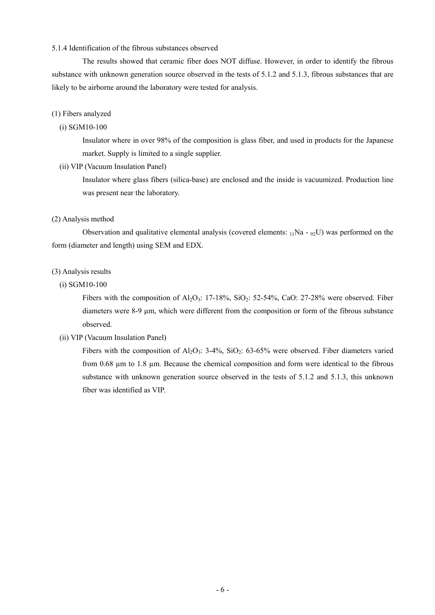### 5.1.4 Identification of the fibrous substances observed

The results showed that ceramic fiber does NOT diffuse. However, in order to identify the fibrous substance with unknown generation source observed in the tests of 5.1.2 and 5.1.3, fibrous substances that are likely to be airborne around the laboratory were tested for analysis.

#### (1) Fibers analyzed

### (i) SGM10-100

Insulator where in over 98% of the composition is glass fiber, and used in products for the Japanese market. Supply is limited to a single supplier.

#### (ii) VIP (Vacuum Insulation Panel)

Insulator where glass fibers (silica-base) are enclosed and the inside is vacuumized. Production line was present near the laboratory.

#### (2) Analysis method

Observation and qualitative elemental analysis (covered elements:  $_{11}Na - 92U$ ) was performed on the form (diameter and length) using SEM and EDX.

#### (3) Analysis results

## (i) SGM10-100

Fibers with the composition of Al<sub>2</sub>O<sub>3</sub>: 17-18%, SiO<sub>2</sub>: 52-54%, CaO: 27-28% were observed. Fiber diameters were 8-9 µm, which were different from the composition or form of the fibrous substance observed.

## (ii) VIP (Vacuum Insulation Panel)

Fibers with the composition of  $Al_2O_3$ : 3-4%,  $SiO_2$ : 63-65% were observed. Fiber diameters varied from 0.68 µm to 1.8 µm. Because the chemical composition and form were identical to the fibrous substance with unknown generation source observed in the tests of 5.1.2 and 5.1.3, this unknown fiber was identified as VIP.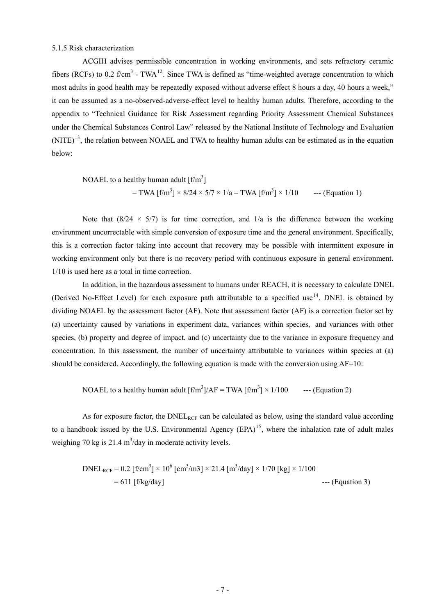## 5.1.5 Risk characterization

<span id="page-7-0"></span>ACGIH advises permissible concentration in working environments, and sets refractory ceramic fibers (RCFs) to 0.2 f/cm<sup>3</sup> - TWA<sup>[12](#page-11-11)</sup>. Since TWA is defined as "time-weighted average concentration to which most adults in good health may be repeatedly exposed without adverse effect 8 hours a day, 40 hours a week," it can be assumed as a no-observed-adverse-effect level to healthy human adults. Therefore, according to the appendix to "Technical Guidance for Risk Assessment regarding Priority Assessment Chemical Substances under the Chemical Substances Control Law" released by the National Institute of Technology and Evaluation (NITE)<sup>[13](#page-11-12)</sup>, the relation between NOAEL and TWA to healthy human adults can be estimated as in the equation below:

NOAEL to a healthy human adult 
$$
[f/m^3]
$$
  
= TWA  $[f/m^3] \times 8/24 \times 5/7 \times 1/a$  = TWA  $[f/m^3] \times 1/10$  -- (Equation 1)

Note that  $(8/24 \times 5/7)$  is for time correction, and  $1/a$  is the difference between the working environment uncorrectable with simple conversion of exposure time and the general environment. Specifically, this is a correction factor taking into account that recovery may be possible with intermittent exposure in working environment only but there is no recovery period with continuous exposure in general environment. 1/10 is used here as a total in time correction.

In addition, in the hazardous assessment to humans under REACH, it is necessary to calculate DNEL (Derived No-Effect Level) for each exposure path attributable to a specified use<sup>[14](#page-11-13)</sup>. DNEL is obtained by dividing NOAEL by the assessment factor (AF). Note that assessment factor (AF) is a correction factor set by (a) uncertainty caused by variations in experiment data, variances within species, and variances with other species, (b) property and degree of impact, and (c) uncertainty due to the variance in exposure frequency and concentration. In this assessment, the number of uncertainty attributable to variances within species at (a) should be considered. Accordingly, the following equation is made with the conversion using AF=10:

NOAEL to a healthy human adult 
$$
[f/m^3]/AF = TWA [f/m^3] \times 1/100
$$
 ---(Equation 2)

As for exposure factor, the  $DNEL_{RCF}$  can be calculated as below, using the standard value according to a handbook issued by the U.S. Environmental Agency  $(EPA)^{15}$  $(EPA)^{15}$  $(EPA)^{15}$ , where the inhalation rate of adult males weighing 70 kg is 21.4  $\text{m}^3$ /day in moderate activity levels.

DNELRCF = 0.2 [f/cm3 ] × 106 [cm3 /m3] × 21.4 [m3 /day] × 1/70 [kg] × 1/100 = 611 [f/kg/day] --- (Equation 3)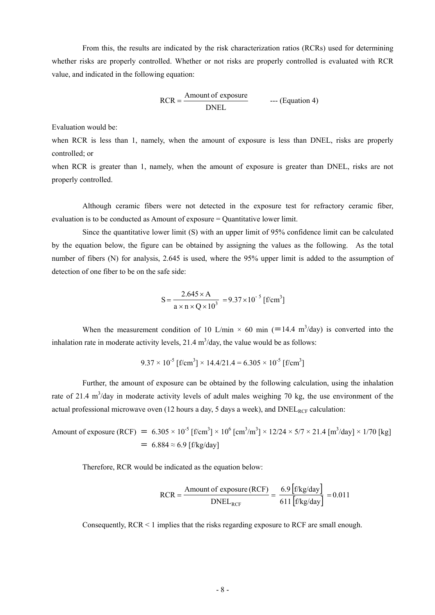From this, the results are indicated by the risk characterization ratios (RCRs) used for determining whether risks are properly controlled. Whether or not risks are properly controlled is evaluated with RCR value, and indicated in the following equation:

$$
RCR = \frac{Amount of exposure}{DNEL} \qquad \qquad \text{...} \text{ (Equation 4)}
$$

Evaluation would be:

when RCR is less than 1, namely, when the amount of exposure is less than DNEL, risks are properly controlled; or

when RCR is greater than 1, namely, when the amount of exposure is greater than DNEL, risks are not properly controlled.

Although ceramic fibers were not detected in the exposure test for refractory ceramic fiber, evaluation is to be conducted as Amount of exposure = Quantitative lower limit.

Since the quantitative lower limit (S) with an upper limit of 95% confidence limit can be calculated by the equation below, the figure can be obtained by assigning the values as the following. As the total number of fibers (N) for analysis, 2.645 is used, where the 95% upper limit is added to the assumption of detection of one fiber to be on the safe side:

$$
S = \frac{2.645 \times A}{a \times n \times Q \times 10^{3}} = 9.37 \times 10^{-5} \,[\text{f/cm}^{3}]
$$

When the measurement condition of 10 L/min  $\times$  60 min (=14.4 m<sup>3</sup>/day) is converted into the inhalation rate in moderate activity levels, 21.4  $m<sup>3</sup>/day$ , the value would be as follows:

$$
9.37 \times 10^{-5}
$$
 [f/cm<sup>3</sup>] × 14.4/21.4 = 6.305 × 10<sup>-5</sup> [f/cm<sup>3</sup>]

Further, the amount of exposure can be obtained by the following calculation, using the inhalation rate of 21.4  $m^3$ /day in moderate activity levels of adult males weighing 70 kg, the use environment of the actual professional microwave oven (12 hours a day, 5 days a week), and  $DNEL_{RCF}$  calculation:

Amount of exposure (RCF) =  $6.305 \times 10^{-5}$  [f/cm<sup>3</sup>]  $\times 10^{6}$  [cm<sup>3</sup>/m<sup>3</sup>]  $\times 12/24 \times 5/7 \times 21.4$  [m<sup>3</sup>/day]  $\times 1/70$  [kg]  $= 6.884 \approx 6.9$  [f/kg/day]

Therefore, RCR would be indicated as the equation below:

$$
RCR = \frac{Amount of exposure (RCF)}{DNEL_{RCF}} = \frac{6.9 \left[ f/kg/day \right]}{611 \left[ f/kg/day \right]} = 0.011
$$

Consequently,  $RCR \leq 1$  implies that the risks regarding exposure to RCF are small enough.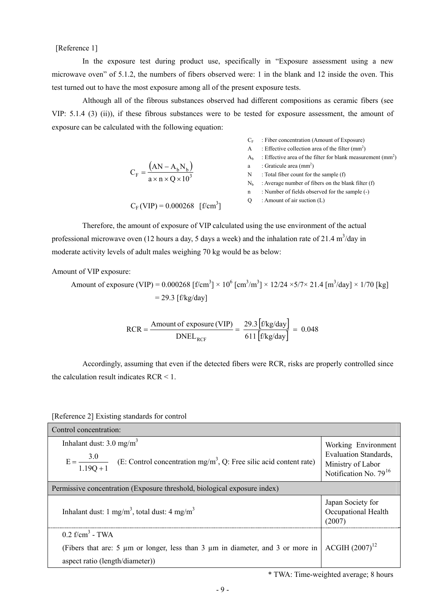[Reference 1]

In the exposure test during product use, specifically in "Exposure assessment using a new microwave oven" of 5.1.2, the numbers of fibers observed were: 1 in the blank and 12 inside the oven. This test turned out to have the most exposure among all of the present exposure tests.

Although all of the fibrous substances observed had different compositions as ceramic fibers (see VIP: 5.1.4 (3) (ii)), if these fibrous substances were to be tested for exposure assessment, the amount of exposure can be calculated with the following equation:

|                                                                | A              | : Effective collection area of the filter $\text{(mm}^2)$    |
|----------------------------------------------------------------|----------------|--------------------------------------------------------------|
|                                                                | Aь             | : Effective area of the filter for blank measurement $(mm2)$ |
|                                                                | a              | : Graticule area $(mm2)$                                     |
| $C_F = \frac{(AN - A_b N_b)}{a \times n \times Q \times 10^3}$ | N              | : Total fiber count for the sample (f)                       |
|                                                                | N <sub>b</sub> | : Average number of fibers on the blank filter (f)           |
|                                                                | n              | : Number of fields observed for the sample (-)               |
| $C_F$ (VIP) = 0.000268 [f/cm <sup>3</sup> ]                    | $\theta$       | : Amount of air suction $(L)$                                |

 $C_F$ : Fiber concentration (Amount of Exposure)

Therefore, the amount of exposure of VIP calculated using the use environment of the actual professional microwave oven (12 hours a day, 5 days a week) and the inhalation rate of 21.4 m<sup>3</sup>/day in moderate activity levels of adult males weighing 70 kg would be as below:

Amount of VIP exposure:

Amount of exposure (VIP) =  $0.000268$  [f/cm<sup>3</sup>] ×  $10^6$  [cm<sup>3</sup>/m<sup>3</sup>] ×  $12/24 \times 5/7 \times 21.4$  [m<sup>3</sup>/day] × 1/70 [kg]  $= 29.3$  [f/kg/day]

$$
RCR = \frac{\text{Amount of exposure (VIP)}}{\text{DNEL}_{RCF}} = \frac{29.3 \left[ f/kg/day \right]}{611 \left[ f/kg/day \right]} = 0.048
$$

Accordingly, assuming that even if the detected fibers were RCR, risks are properly controlled since the calculation result indicates RCR < 1.

[Reference 2] Existing standards for control

| Control concentration:                                                                                                                            |                                                                                                        |  |  |  |  |
|---------------------------------------------------------------------------------------------------------------------------------------------------|--------------------------------------------------------------------------------------------------------|--|--|--|--|
| Inhalant dust: $3.0 \text{ mg/m}^3$<br>$E = \frac{3.0}{1.19Q + 1}$ (E: Control concentration mg/m <sup>3</sup> , Q: Free silic acid content rate) | Working Environment<br><b>Evaluation Standards,</b><br>Ministry of Labor<br>Notification No. $79^{16}$ |  |  |  |  |
| Permissive concentration (Exposure threshold, biological exposure index)                                                                          |                                                                                                        |  |  |  |  |
| Inhalant dust: 1 mg/m <sup>3</sup> , total dust: 4 mg/m <sup>3</sup>                                                                              | Japan Society for<br>Occupational Health<br>(2007)                                                     |  |  |  |  |
| $0.2$ f/cm <sup>3</sup> - TWA                                                                                                                     |                                                                                                        |  |  |  |  |
| (Fibers that are: 5 µm or longer, less than 3 µm in diameter, and 3 or more in                                                                    | $ACGIH (2007)^{12}$                                                                                    |  |  |  |  |
| aspect ratio (length/diameter))                                                                                                                   |                                                                                                        |  |  |  |  |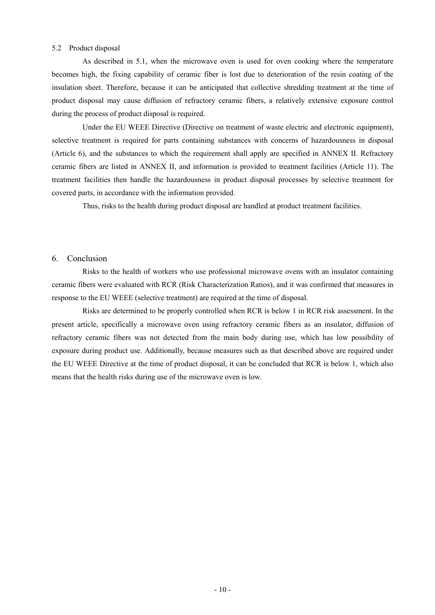### 5.2 Product disposal

As described in 5.1, when the microwave oven is used for oven cooking where the temperature becomes high, the fixing capability of ceramic fiber is lost due to deterioration of the resin coating of the insulation sheet. Therefore, because it can be anticipated that collective shredding treatment at the time of product disposal may cause diffusion of refractory ceramic fibers, a relatively extensive exposure control during the process of product disposal is required.

Under the EU WEEE Directive (Directive on treatment of waste electric and electronic equipment), selective treatment is required for parts containing substances with concerns of hazardousness in disposal (Article 6), and the substances to which the requirement shall apply are specified in ANNEX II. Refractory ceramic fibers are listed in ANNEX II, and information is provided to treatment facilities (Article 11). The treatment facilities then handle the hazardousness in product disposal processes by selective treatment for covered parts, in accordance with the information provided.

Thus, risks to the health during product disposal are handled at product treatment facilities.

## 6. Conclusion

Risks to the health of workers who use professional microwave ovens with an insulator containing ceramic fibers were evaluated with RCR (Risk Characterization Ratios), and it was confirmed that measures in response to the EU WEEE (selective treatment) are required at the time of disposal.

Risks are determined to be properly controlled when RCR is below 1 in RCR risk assessment. In the present article, specifically a microwave oven using refractory ceramic fibers as an insulator, diffusion of refractory ceramic fibers was not detected from the main body during use, which has low possibility of exposure during product use. Additionally, because measures such as that described above are required under the EU WEEE Directive at the time of product disposal, it can be concluded that RCR is below 1, which also means that the health risks during use of the microwave oven is low.